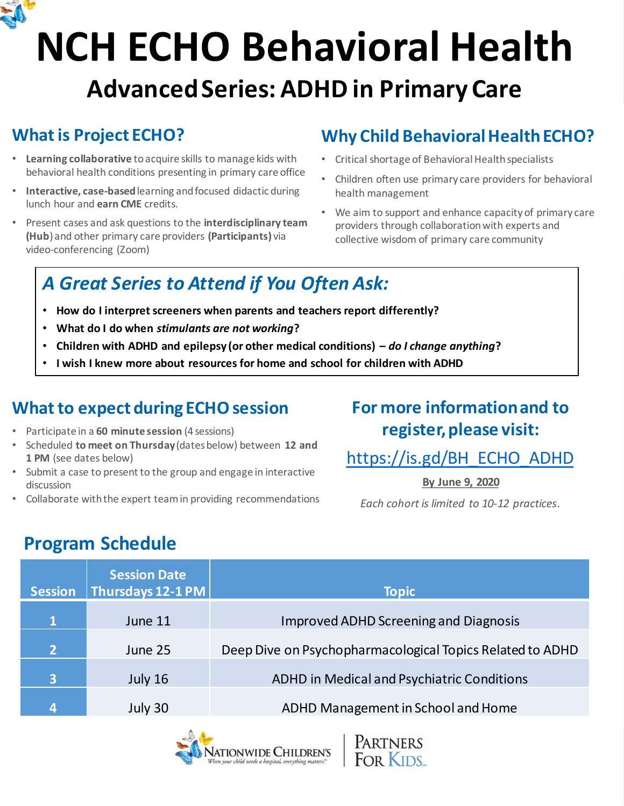

## **NCH ECHO Behavioral Health Advanced Series: ADHD in Primary Care**

#### **What is Project ECHO?**

- **Learning collaborative** to acquire skills to manage kids with behavioral health conditions presenting in primary care office
- **Interactive, case-based**learning and focused didactic during lunch hour and **earn CME** credits.
- Present cases and ask questions to the **interdisciplinary team (Hub**) and other primary care providers **(Participants)** via video-conferencing (Zoom)

#### **Why Child Behavioral Health ECHO?**

- Critical shortage of Behavioral Health specialists
- Children often use primary care providers for behavioral health management
- We aim to support and enhance capacity of primary care providers through collaboration with experts and collective wisdom of primary care community

## *A Great Series to Attend if You Often Ask:*

- **How do I interpret screeners when parents and teachers report differently?**
- **What do I do when** *stimulants are not working***?**
- **Children with ADHD and epilepsy (or other medical conditions) –** *do I change anything***?**
- **I wish I knew more about resources for home and school for children with ADHD**

#### **What to expect during ECHO session**

- Participate in a **60 minute session** (4 sessions)
- Scheduled **to meet on Thursday**(dates below) between **12 and 1 PM** (see dates below)
- Submit a case to present to the group and engage in interactive discussion
- Collaborate with the expert team in providing recommendations

#### **For more information and to register, please visit:**

#### [https://is.gd/BH\\_ECHO\\_ADHD](https://is.gd/BH_ECHO_ADHD)

**By June 9, 2020**

*Each cohort is limited to 10-12 practices*.

### **Program Schedule**

| <b>Session</b>          | <b>Session Date</b><br>Thursdays 12-1 PM | <b>Topic</b>                                              |
|-------------------------|------------------------------------------|-----------------------------------------------------------|
| $\mathbf{1}$            | June 11                                  | <b>Improved ADHD Screening and Diagnosis</b>              |
| $\overline{2}$          | June 25                                  | Deep Dive on Psychopharmacological Topics Related to ADHD |
| $\overline{\mathbf{3}}$ | July 16                                  | <b>ADHD in Medical and Psychiatric Conditions</b>         |
| 4                       | July 30                                  | ADHD Management in School and Home                        |

PARTNERS